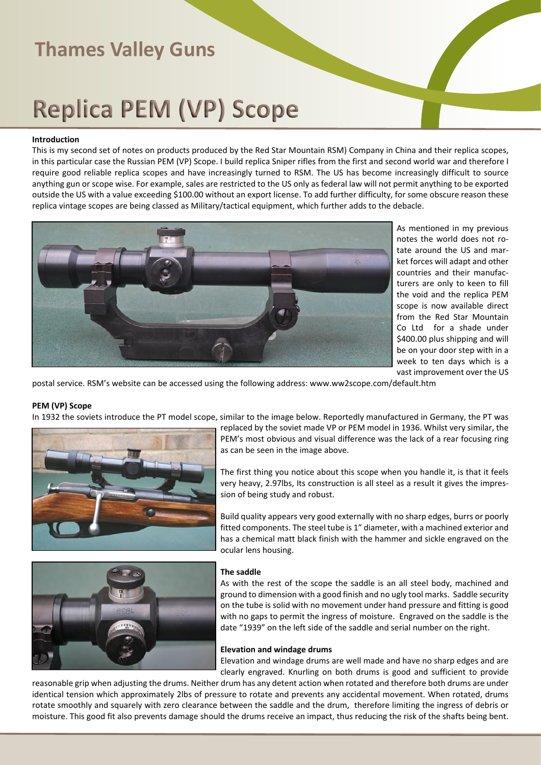# **Replica PEM (VP) Scope**

### **Introduction**

This is my second set of notes on products produced by the Red Star Mountain RSM) Company in China and their replica scopes, in this particular case the Russian PEM (VP) Scope. I build replica Sniper rifles from the first and second world war and therefore I require good reliable replica scopes and have increasingly turned to RSM. The US has become increasingly difficult to source anything gun or scope wise. For example, sales are restricted to the US only as federal law will not permit anything to be exported outside the US with a value exceeding \$100.00 without an export license. To add further difficulty, for some obscure reason these replica vintage scopes are being classed as Military/tactical equipment, which further adds to the debacle.



As mentioned in my previous notes the world does not rotate around the US and market forces will adapt and other countries and their manufacturers are only to keen to fill the void and the replica PEM scope is now available direct from the Red Star Mountain Co Ltd for a shade under \$400.00 plus shipping and will be on your door step with in a week to ten days which is a vast improvement over the US

postal service. RSM's website can be accessed using the following address: www.ww2scope.com/default.htm

## **PEM (VP) Scope**

In 1932 the soviets introduce the PT model scope, similar to the image below. Reportedly manufactured in Germany, the PT was



replaced by the soviet made VP or PEM model in 1936. Whilst very similar, the PEM's most obvious and visual difference was the lack of a rear focusing ring as can be seen in the image above.

The first thing you notice about this scope when you handle it, is that it feels very heavy, 2.97lbs, Its construction is all steel as a result it gives the impression of being study and robust.

Build quality appears very good externally with no sharp edges, burrs or poorly fitted components. The steel tube is 1" diameter, with a machined exterior and has a chemical matt black finish with the hammer and sickle engraved on the ocular lens housing.



## **The saddle**

As with the rest of the scope the saddle is an all steel body, machined and ground to dimension with a good finish and no ugly tool marks. Saddle security on the tube is solid with no movement under hand pressure and fitting is good with no gaps to permit the ingress of moisture. Engraved on the saddle is the date "1939" on the left side of the saddle and serial number on the right.

#### **Elevation and windage drums**

Elevation and windage drums are well made and have no sharp edges and are clearly engraved. Knurling on both drums is good and sufficient to provide

reasonable grip when adjusting the drums. Neither drum has any detent action when rotated and therefore both drums are under identical tension which approximately 2lbs of pressure to rotate and prevents any accidental movement. When rotated, drums rotate smoothly and squarely with zero clearance between the saddle and the drum, therefore limiting the ingress of debris or moisture. This good fit also prevents damage should the drums receive an impact, thus reducing the risk of the shafts being bent.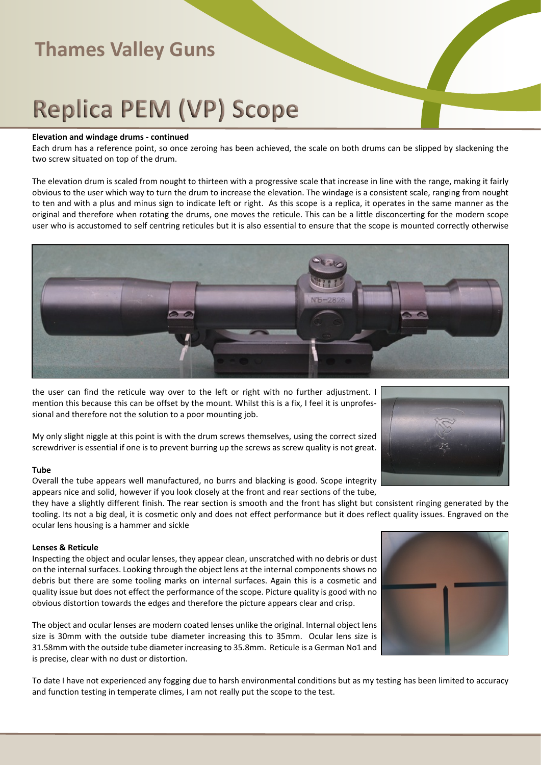# **Replica PEM (VP) Scope**

#### **Elevation and windage drums - continued**

Each drum has a reference point, so once zeroing has been achieved, the scale on both drums can be slipped by slackening the two screw situated on top of the drum.

The elevation drum is scaled from nought to thirteen with a progressive scale that increase in line with the range, making it fairly obvious to the user which way to turn the drum to increase the elevation. The windage is a consistent scale, ranging from nought to ten and with a plus and minus sign to indicate left or right. As this scope is a replica, it operates in the same manner as the original and therefore when rotating the drums, one moves the reticule. This can be a little disconcerting for the modern scope user who is accustomed to self centring reticules but it is also essential to ensure that the scope is mounted correctly otherwise



the user can find the reticule way over to the left or right with no further adjustment. I mention this because this can be offset by the mount. Whilst this is a fix, I feel it is unprofessional and therefore not the solution to a poor mounting job.

My only slight niggle at this point is with the drum screws themselves, using the correct sized screwdriver is essential if one is to prevent burring up the screws as screw quality is not great.

#### **Tube**

Overall the tube appears well manufactured, no burrs and blacking is good. Scope integrity appears nice and solid, however if you look closely at the front and rear sections of the tube,

they have a slightly different finish. The rear section is smooth and the front has slight but consistent ringing generated by the tooling. Its not a big deal, it is cosmetic only and does not effect performance but it does reflect quality issues. Engraved on the ocular lens housing is a hammer and sickle

#### **Lenses & Reticule**

Inspecting the object and ocular lenses, they appear clean, unscratched with no debris or dust on the internal surfaces. Looking through the object lens at the internal components shows no debris but there are some tooling marks on internal surfaces. Again this is a cosmetic and quality issue but does not effect the performance of the scope. Picture quality is good with no obvious distortion towards the edges and therefore the picture appears clear and crisp.

The object and ocular lenses are modern coated lenses unlike the original. Internal object lens size is 30mm with the outside tube diameter increasing this to 35mm. Ocular lens size is 31.58mm with the outside tube diameter increasing to 35.8mm. Reticule is a German No1 and is precise, clear with no dust or distortion.



To date I have not experienced any fogging due to harsh environmental conditions but as my testing has been limited to accuracy and function testing in temperate climes, I am not really put the scope to the test.

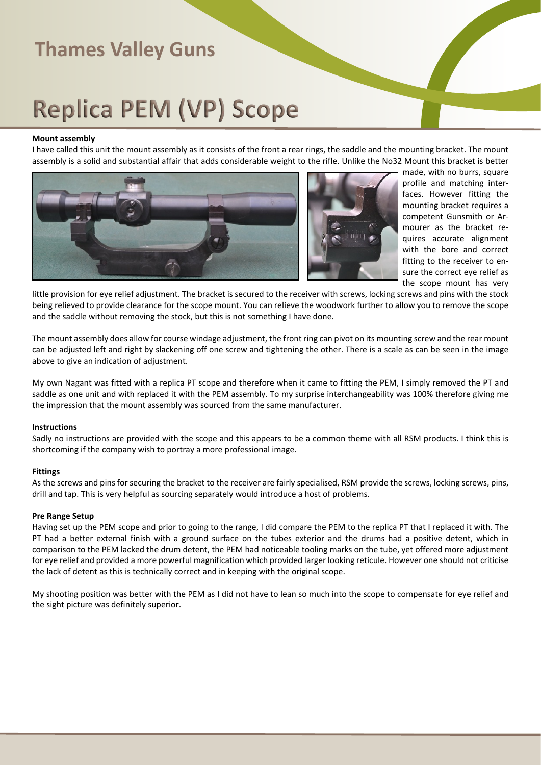# **Replica PEM (VP) Scope**

### **Mount assembly**

I have called this unit the mount assembly as it consists of the front a rear rings, the saddle and the mounting bracket. The mount assembly is a solid and substantial affair that adds considerable weight to the rifle. Unlike the No32 Mount this bracket is better



made, with no burrs, square profile and matching interfaces. However fitting the mounting bracket requires a competent Gunsmith or Armourer as the bracket requires accurate alignment with the bore and correct fitting to the receiver to ensure the correct eye relief as the scope mount has very

little provision for eye relief adjustment. The bracket is secured to the receiver with screws, locking screws and pins with the stock being relieved to provide clearance for the scope mount. You can relieve the woodwork further to allow you to remove the scope and the saddle without removing the stock, but this is not something I have done.

The mount assembly does allow for course windage adjustment, the front ring can pivot on its mounting screw and the rear mount can be adjusted left and right by slackening off one screw and tightening the other. There is a scale as can be seen in the image above to give an indication of adjustment.

My own Nagant was fitted with a replica PT scope and therefore when it came to fitting the PEM, I simply removed the PT and saddle as one unit and with replaced it with the PEM assembly. To my surprise interchangeability was 100% therefore giving me the impression that the mount assembly was sourced from the same manufacturer.

## **Instructions**

Sadly no instructions are provided with the scope and this appears to be a common theme with all RSM products. I think this is shortcoming if the company wish to portray a more professional image.

## **Fittings**

As the screws and pins for securing the bracket to the receiver are fairly specialised, RSM provide the screws, locking screws, pins, drill and tap. This is very helpful as sourcing separately would introduce a host of problems.

## **Pre Range Setup**

Having set up the PEM scope and prior to going to the range, I did compare the PEM to the replica PT that I replaced it with. The PT had a better external finish with a ground surface on the tubes exterior and the drums had a positive detent, which in comparison to the PEM lacked the drum detent, the PEM had noticeable tooling marks on the tube, yet offered more adjustment for eye relief and provided a more powerful magnification which provided larger looking reticule. However one should not criticise the lack of detent as this is technically correct and in keeping with the original scope.

My shooting position was better with the PEM as I did not have to lean so much into the scope to compensate for eye relief and the sight picture was definitely superior.